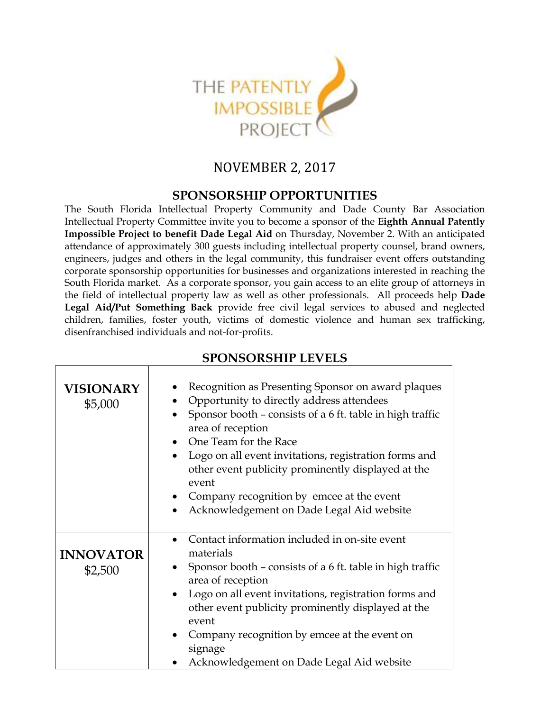

## NOVEMBER 2, 2017

## **SPONSORSHIP OPPORTUNITIES**

The South Florida Intellectual Property Community and Dade County Bar Association Intellectual Property Committee invite you to become a sponsor of the **Eighth Annual Patently Impossible Project to benefit Dade Legal Aid** on Thursday, November 2. With an anticipated attendance of approximately 300 guests including intellectual property counsel, brand owners, engineers, judges and others in the legal community, this fundraiser event offers outstanding corporate sponsorship opportunities for businesses and organizations interested in reaching the South Florida market. As a corporate sponsor, you gain access to an elite group of attorneys in the field of intellectual property law as well as other professionals. All proceeds help **Dade Legal Aid/Put Something Back** provide free civil legal services to abused and neglected children, families, foster youth, victims of domestic violence and human sex trafficking, disenfranchised individuals and not-for-profits.

| <b>VISIONARY</b><br>\$5,000 | Recognition as Presenting Sponsor on award plaques<br>Opportunity to directly address attendees<br>Sponsor booth - consists of a 6 ft. table in high traffic<br>area of reception<br>One Team for the Race<br>Logo on all event invitations, registration forms and<br>$\bullet$<br>other event publicity prominently displayed at the<br>event<br>Company recognition by emcee at the event<br>Acknowledgement on Dade Legal Aid website<br>$\bullet$ |
|-----------------------------|--------------------------------------------------------------------------------------------------------------------------------------------------------------------------------------------------------------------------------------------------------------------------------------------------------------------------------------------------------------------------------------------------------------------------------------------------------|
| <b>INNOVATOR</b><br>\$2,500 | Contact information included in on-site event<br>materials<br>Sponsor booth - consists of a 6 ft. table in high traffic<br>٠<br>area of reception<br>Logo on all event invitations, registration forms and<br>$\bullet$<br>other event publicity prominently displayed at the<br>event<br>Company recognition by emcee at the event on<br>signage<br>Acknowledgement on Dade Legal Aid website                                                         |

## **SPONSORSHIP LEVELS**